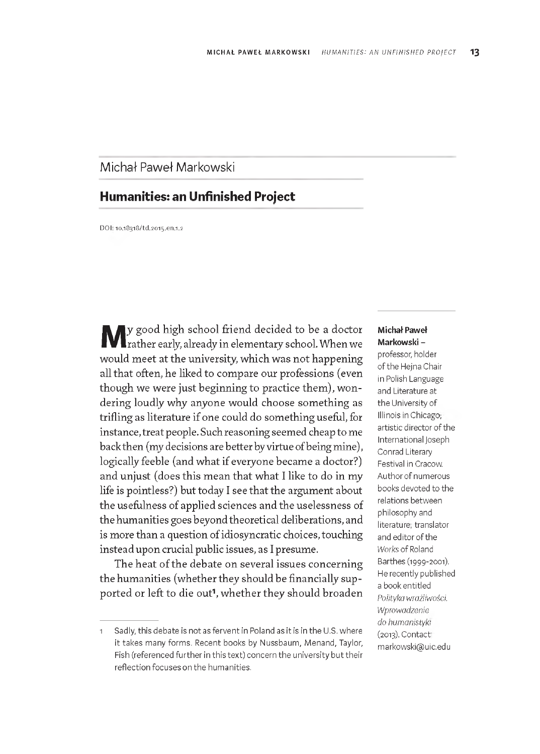# Michał Paweł Markowski

# **Humanities: an Unfinished Project**

DOI: 10.18318/td.2015.en.1.2

**M** y good high school friend decided to be a doctor<br>
rather early, already in elementary school. When we rather early, already in elementary school. W hen we would meet at the university, which was not happening all that often, he liked to compare our professions (even though we were just beginning to practice them), wondering loudly why anyone would choose something as trifling as literature if one could do something useful, for instance, treat people. Such reasoning seemed cheap to me back then (my decisions are better by virtue of being mine), logically feeble (and what if everyone became a doctor?) and unjust (does this mean that what I like to do in my life is pointless?) but today I see that the argument about the usefulness of applied sciences and the uselessness of the humanities goes beyond theoretical deliberations, and is more than a question of idiosyncratic choices, touching instead upon crucial public issues, as I presume.

The heat of the debate on several issues concerning the humanities (whether they should be financially supported or left to die out<sup>1</sup>, whether they should broaden

#### **M ichał Paweł Markowski** -

professor, holder of the Heina Chair in Polish Language and Literature at the University of Illinois in Chicago; artistic director of the International Joseph Conrad Literary Festival in Cracow. Author of numerous books devoted to the relations between philosophy and literature; translator and editor of the *Works* of Roland B arthes (1999-2001). He recently published a book entitled *Polityka wrażliwości. Wprowadzenie do humanistyki* (2013). Contact: [m arkowski@ uic.edu](mailto:markowski@uic.edu)

Sadly, this debate is not as fervent in Poland as it is in the U.S. where it takes many forms. Recent books by Nussbaum, Menand, Taylor, Fish (referenced further in this text) concern the university but their reflection focuses on the humanities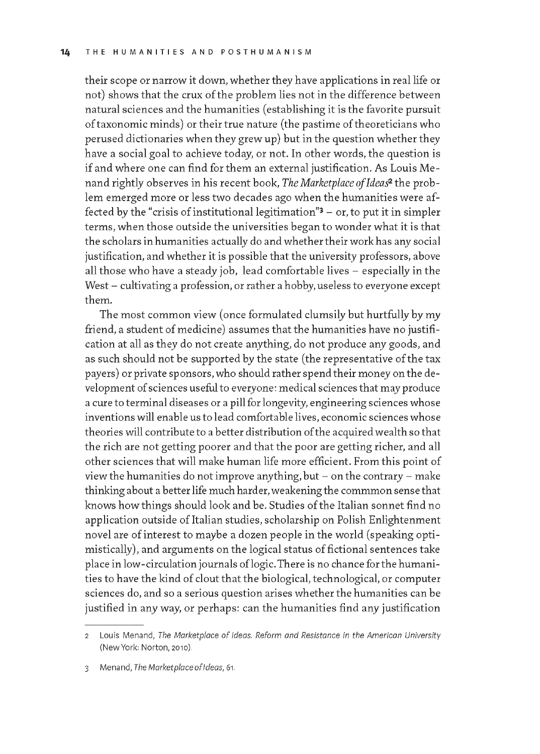their scope or narrow it down, w hether they have applications in real life or not) shows that the crux of the problem lies not in the difference between natural sciences and the hum anities (establishing it is the favorite pursuit of taxonomic minds) or their true nature (the pastime of theoreticians who perused dictionaries when they grew up) but in the question whether they have a social goal to achieve today, or not. In other words, the question is if and where one can find for them an external justification. As Louis Menand rightly observes in his recent book, *The Marketplace of'Ideas2* the problem emerged more or less two decades ago when the humanities were affected by the "crisis of institutional legitimation" $3 -$  or, to put it in simpler terms, when those outside the universities began to wonder what it is that the scholars in humanities actually do and whether their work has any social justification, and whether it is possible that the university professors, above all those who have a steady job, lead comfortable lives - especially in the West - cultivating a profession, or rather a hobby, useless to everyone except them .

The most common view (once formulated clumsily but hurtfully by my friend, a student of medicine) assumes that the humanities have no justification at all as they do not create anything, do not produce any goods, and as such should not be supported by the state (the representative of the tax payers) or private sponsors, who should rather spend their money on the development of sciences useful to everyone: medical sciences that may produce a cure to terminal diseases or a pill for longevity, engineering sciences whose inventions will enable us to lead comfortable lives, economic sciences whose theories will contribute to a better distribution of the acquired wealth so that the rich are not getting poorer and that the poor are getting richer, and all other sciences that will make human life more efficient. From this point of view the humanities do not improve anything, but  $-$  on the contrary  $-$  make thinking about a better life much harder, weakening the commmon sense that knows how things should look and be. Studies of the Italian sonnet find no application outside of Italian studies, scholarship on Polish Enlightenment novel are of interest to maybe a dozen people in the world (speaking optimistically), and arguments on the logical status of fictional sentences take place in low-circulation journals of logic. There is no chance for the humanities to have the kind of clout that the biological, technological, or computer sciences do, and so a serious question arises whether the humanities can be justified in any way, or perhaps: can the humanities find any justification

<sup>2</sup> Louis Menand, *The Marketplace of Ideas. Reform and Resistance in the American University* (New York: Norton, 2010).

<sup>3</sup> M enand, *The M arketplace o f Ideas,* 61.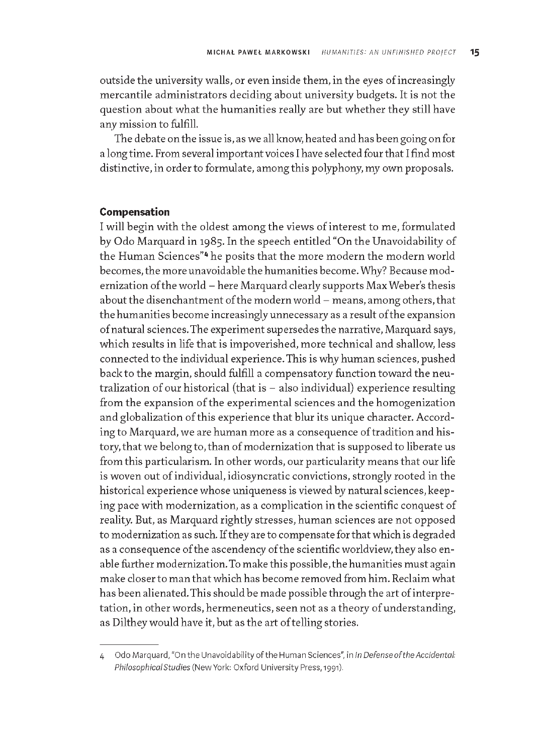outside the university walls, or even inside them, in the eves of increasingly mercantile administrators deciding about university budgets. It is not the question about what the humanities really are but whether they still have any mission to fulfill.

The debate on the issue is, as we all know, heated and has been going on for a long time. From several important voices I have selected four that I find most distinctive, in order to formulate, among this polyphony, my own proposals.

## **Compensation**

I will begin with the oldest among the views of interest to me, formulated by Odo Marquard in 1985. In the speech entitled "On the Unavoidability of the Human Sciences"<sup>4</sup> he posits that the more modern the modern world becomes, the more unavoidable the humanities become. Why? Because modernization of the world - here Marquard clearly supports Max Weber's thesis about the disenchantment of the modern world - means, among others, that the humanities become increasingly unnecessary as a result of the expansion of natural sciences. The experiment supersedes the narrative, Marquard says, which results in life that is impoverished, more technical and shallow, less connected to the individual experience. This is why human sciences, pushed back to the margin, should fulfill a compensatory function toward the neutralization of our historical (that is  $-$  also individual) experience resulting from the expansion of the experimental sciences and the homogenization and globalization of this experience that blur its unique character. According to Marquard, we are human more as a consequence of tradition and history, that we belong to, than of modernization that is supposed to liberate us from this particularism. In other words, our particularity means that our life is woven out of individual, idiosyncratic convictions, strongly rooted in the historical experience whose uniqueness is view ed by natural sciences, keeping pace with modernization, as a complication in the scientific conquest of reality. But, as Marquard rightly stresses, human sciences are not opposed to modernization as such. If they are to compensate for that which is degraded as a consequence of the ascendency of the scientific worldview, they also enable further modernization. To make this possible, the humanities must again make closer to man that which has become removed from him. Reclaim what has been alienated. This should be made possible through the art of interpretation, in other words, hermeneutics, seen not as a theory of understanding, as Dilthey would have it, but as the art of telling stories.

<sup>4</sup> Odo Marquard, "On the Unavoidability of the Human Sciences", in *In Defense of the Accidental: Philosophical Studies* (New York: Oxford University Press, 1991).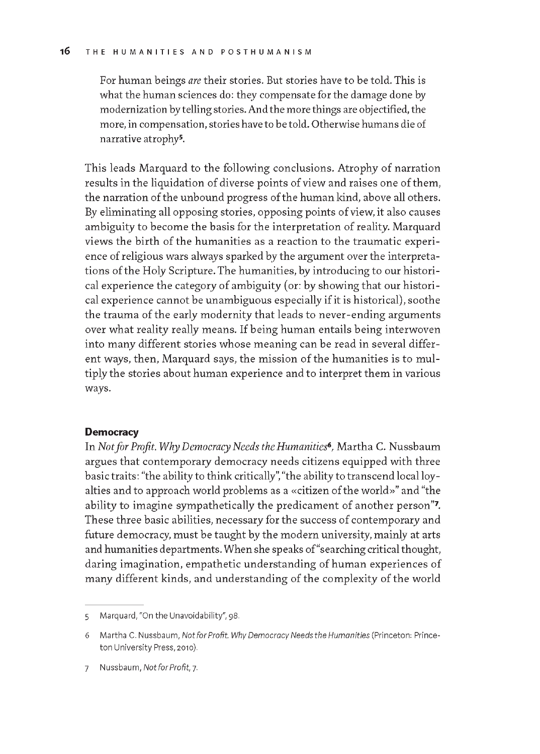For human beings *are* their stories. But stories have to be told. This is what the human sciences do: they compensate for the damage done by modernization by telling stories. And the more things are objectified, the more, in compensation, stories have to be told. Otherwise humans die of narrative atrophy5.

This leads Marquard to the following conclusions. A trophy of narration results in the liquidation of diverse points of view and raises one of them, the narration of the unbound progress of the human kind, above all others. By eliminating all opposing stories, opposing points of view, it also causes ambiguity to become the basis for the interpretation of reality. Marquard views the birth of the humanities as a reaction to the traumatic experience of religious wars always sparked by the argument over the interpretations of the Holy Scripture. The humanities, by introducing to our historical experience the category of ambiguity (or: by showing that our historical experience cannot be unambiguous especially if it is historical), soothe the trauma of the early modernity that leads to never-ending arguments over what reality really means. If being human entails being interwoven into many different stories whose meaning can be read in several different ways, then, Marquard says, the mission of the humanities is to multiply the stories about human experience and to interpret them in various ways.

### **Democracy**

In *Not for Profit. Why Democracy Needs the Humanities*<sup>6</sup>, Martha C. Nussbaum argues that contemporary democracy needs citizens equipped with three basic traits: "the ability to think critically", "the ability to transcend local loyalties and to approach world problems as a «citizen of the world»" and "the ability to imagine sympathetically the predicament of another person". These three basic abilities, necessary for the success of contemporary and future democracy, must be taught by the modern university, mainly at arts and humanities departments. When she speaks of "searching critical thought, daring imagination, empathetic understanding of human experiences of many different kinds, and understanding of the complexity of the world

<sup>5</sup> Marquard, "On the Unavoidability", 98.

<sup>6</sup> Martha C. Nussbaum, *Not for Profit. Why Democracy Needs the Humanities* (Princeton: Princeton University Press, 2010).

<sup>7</sup> Nussbaum, Not for Profit, 7.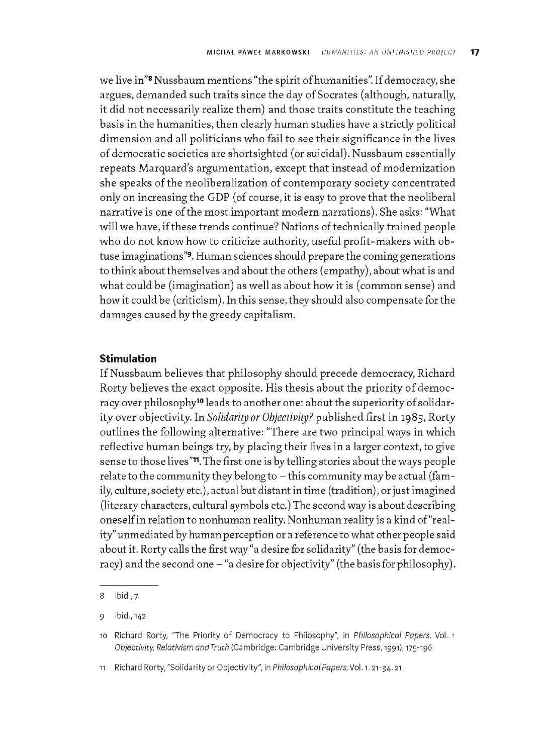we live in"<sup>8</sup> Nussbaum mentions "the spirit of humanities". If democracy, she argues, demanded such traits since the day of Socrates (although, naturally, it did not necessarily realize them) and those traits constitute the teaching basis in the humanities, then clearly human studies have a strictly political dimension and all politicians who fail to see their significance in the lives of democratic societies are shortsighted (or suicidal). Nussbaum essentially repeats Marquard's argumentation, except that instead of modernization she speaks of the neoliberalization of contemporary society concentrated only on increasing the GDP (of course, it is easy to prove that the neoliberal narrative is one of the most important modern narrations). She asks: "What will we have, if these trends continue? Nations of technically trained people who do not know how to criticize authority, useful profit-makers with obtuse imaginations"<sup>9</sup>. Human sciences should prepare the coming generations to think about them selves and about the others (empathy), about what is and what could be (imagination) as well as about how it is (common sense) and how it could be (criticism). In this sense, they should also compensate for the dam ages caused by the greedy capitalism.

# **Stimulation**

If Nussbaum believes that philosophy should precede democracy, Richard Rorty believes the exact opposite. His thesis about the priority of democracy over philosophy<sup>10</sup> leads to another one: about the superiority of solidarity over objectivity. In *Solidarity or Objectivity?* published first in 1985, Rorty outlines the following alternative: "There are two principal ways in which reflective human beings try, by placing their lives in a larger context, to give sense to those lives"<sup>1</sup>. The first one is by telling stories about the ways people relate to the community they belong to  $-$  this community may be actual (family, culture, society etc.), actual but distant in time (tradition), or just imagined (literary characters, cultural symbols etc.) The second way is about describing oneself in relation to nonhuman reality. Nonhuman reality is a kind of "reality" unmediated by human perception or a reference to what other people said about it. Rorty calls the first way "a desire for solidarity" (the basis for democracy) and the second one - "a desire for objectivity" (the basis for philosophy).

<sup>8</sup> Ibid., 7.

<sup>9</sup> Ibid., 142.

<sup>10</sup> Richard Rorty, "The Priority of Democracy to Philosophy", in *Philosophical Papers*, Vol. 1 *Objectivity, Relativism and Truth* (Cambridge: Cambridge University Press, 1991), 175-196.

<sup>11</sup> Richard Rorty, "Solidarity or Objectivity", in *Philosophical Papers*, Vol. 1. 21-34. 21.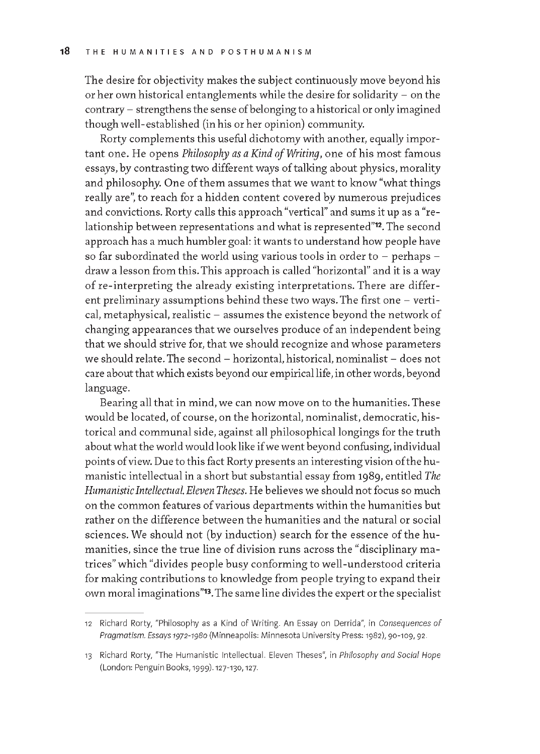The desire for objectivity makes the subject continuously move beyond his or her own historical entanglements while the desire for solidarity - on the contrary - strengthens the sense of belonging to a historical or only imagined though well-established (in his or her opinion) community.

Rorty complements this useful dichotomy with another, equally important one. He opens *Philosophy as a Kind of Writina*, one of his most famous essays, by contrasting two different ways of talking about physics, morality and philosophy. One of them assumes that we want to know "what things really are", to reach for a hidden content covered by numerous prejudices and convictions. Rorty calls this approach "vertical" and sums it up as a "relationship between representations and what is represented"<sup>12</sup>. The second approach has a much humbler goal: it wants to understand how people have so far subordinated the world using various tools in order to  $-$  perhaps  $$ draw a lesson from this. This approach is called "horizontal" and it is a way of re-interpreting the already existing interpretations. There are different preliminary assumptions behind these two ways. The first one  $-$  vertical, metaphysical, realistic - assumes the existence beyond the network of changing appearances that we ourselves produce of an independent being that we should strive for, that we should recognize and whose parameters we should relate. The second  $-$  horizontal, historical, nominalist  $-$  does not care about that which exists beyond our empirical life, in other words, beyond language.

Bearing all that in mind, we can now move on to the humanities. These would be located, of course, on the horizontal, nominalist, democratic, historical and communal side, against all philosophical longings for the truth about what the world would look like if we went beyond confusing, individual points of view. Due to this fact Rorty presents an interesting vision of the hum anistic intellectual in a short but substantial essay from 1989, entitled *The HumanisticIntellectual. Eleven Theses.* He believes we should not focus so much on the common features of various departments within the humanities but rather on the difference between the humanities and the natural or social sciences. We should not (by induction) search for the essence of the humanities, since the true line of division runs across the "disciplinary matrices" which "divides people busy conforming to well-understood criteria for making contributions to knowledge from people trying to expand their own moral imaginations"<sup>13</sup>. The same line divides the expert or the specialist

<sup>12</sup> Richard Rorty, "Philosophy as a Kind of Writing. An Essay on Derrida", in *Consequences of* Pragmatism. Essays 1972-1980 (Minneapolis: Minnesota University Press: 1982), 90-109, 92

<sup>13</sup> Richard Rorty, "The Humanistic Intellectual. Eleven Theses", in *Philosophy and Social Hope* (London: Penguin Books, 1999). 12 7 -130 , 127.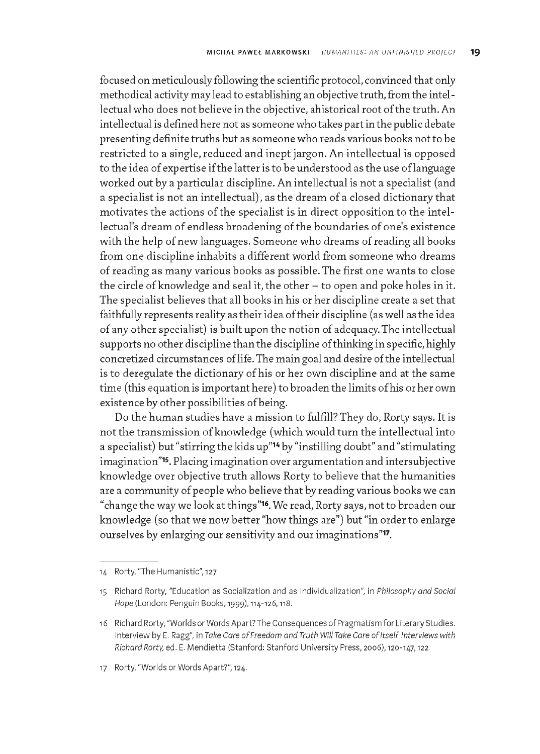focused on meticulously following the scientific protocol, convinced that only methodical activity may lead to establishing an objective truth, from the intellectual who does not believe in the objective, ahistorical root of the truth. An intellectual is defined here not as someone who takes part in the public debate presenting definite truths but as som eone who reads various books not to be restricted to a single, reduced and inept jargon. An intellectual is opposed to the idea of expertise if the latter is to be understood as the use of language worked out by a particular discipline. An intellectual is not a specialist (and a specialist is not an intellectual), as the dream of a closed dictionary that motivates the actions of the specialist is in direct opposition to the intellectual's dream of endless broadening of the boundaries of one's existence with the help of new languages. Someone who dreams of reading all books from one discipline inhabits a different world from someone who dreams of reading as many various books as possible. The first one wants to close the circle of knowledge and seal it, the other  $-$  to open and poke holes in it. The specialist believes that all books in his or her discipline create a set that faithfully represents reality as their idea of their discipline (as well as the idea of any other specialist) is built upon the notion of adequacy. The intellectual supports no other discipline than the discipline of thinking in specific, highly concretized circumstances of life. The main goal and desire of the intellectual is to deregulate the dictionary of his or her own discipline and at the same time (this equation is important here) to broaden the limits of his or her own existence by other possibilities of being.

Do the human studies have a mission to fulfill? They do, Rorty says. It is not the transmission of knowledge (which would turn the intellectual into a specialist) but "stirring the kids up"<sup>14</sup> by "instilling doubt" and "stimulating imagination"<sup>15</sup>. Placing imagination over argumentation and intersubjective knowledge over objective truth allows Rorty to believe that the humanities are a community of people who believe that by reading various books we can "change the way we look at things"<sup>16</sup>. We read, Rorty says, not to broaden our knowledge (so that we now better "how things are") but "in order to enlarge ourselves by enlarging our sensitivity and our imaginations"<sup>17</sup>.

<sup>14</sup> Rorty, "The Humanistic", 127.

<sup>15</sup> Richard Rorty, "Education as Socialization and as Individualization", in *Philosophy and Social Hope* (London: Penguin Books, 1999), 114-126, 118

<sup>16</sup> Richard Rorty, "Worlds or Words Apart? The Consequences of Pragmatism for Literary Studies. Interview by E. Ragg", in *Take Care of Freedom and Truth Will Take Care of Itself Interviews with Richard Rorty, ed. E. Mendietta (Stanford: Stanford University Press, 2006), 120-147, 122.* 

<sup>17</sup> Rorty, "Worlds or Words Apart?", 124.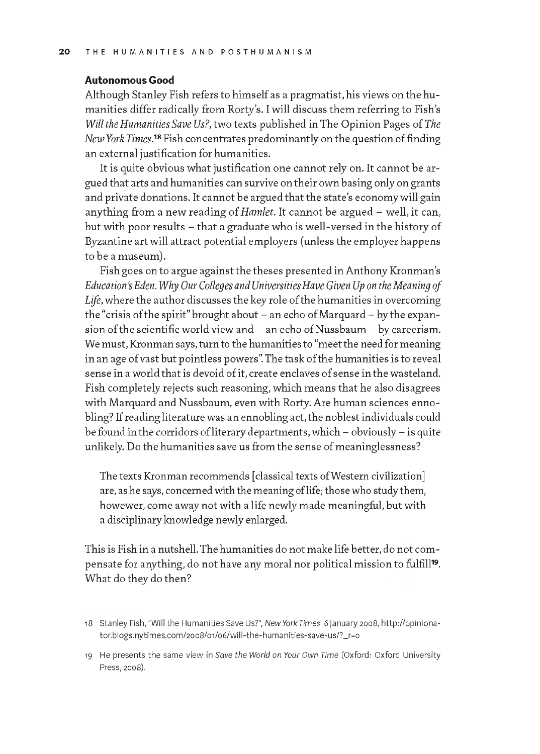#### Autonomous Good

Although Stanley Fish refers to himself as a pragmatist, his views on the humanities differ radically from Rorty's. I will discuss them referring to Fish's *Will the Humanities Save Us?,* two texts published in The Opinion Pages of *The New York Times.*<sup>18</sup> Fish concentrates predominantly on the question of finding an external justification for humanities.

It is quite obvious what justification one cannot rely on. It cannot be argued that arts and humanities can survive on their own basing only on grants and private donations. It cannot be argued that the state's economy will gain anything from a new reading of *Hamlet*. It cannot be argued - well, it can, but with poor results - that a graduate who is well-versed in the history of Byzantine art will attract potential employers (unless the employer happens to be a museum).

Fish goes on to argue against the theses presented in Anthony Kronman's Education's Eden. Why Our Colleges and Universities Have Given Up on the Meaning of Life, where the author discusses the key role of the humanities in overcoming the "crisis of the spirit" brought about – an echo of Marquard – by the expansion of the scientific world view and  $-$  an echo of Nussbaum  $-$  by careerism. We must, Kronman says, turn to the humanities to "meet the need for meaning in an age of vast but pointless powers". The task of the humanities is to reveal sense in a world that is devoid of it, create enclaves of sense in the wasteland. Fish completely rejects such reasoning, which means that he also disagrees with Marquard and Nussbaum, even with Rorty. Are human sciences ennobling? If reading literature was an ennobling act, the noblest individuals could be found in the corridors of literary departments, which  $-$  obviously  $-$  is quite unlikely. Do the humanities save us from the sense of meaninglessness?

The texts Kronman recommends [classical texts of Western civilization] are, as he says, concerned with the meaning of life; those who study them, howewer, come away not with a life newly made meaningful, but with a disciplinary knowledge newly enlarged.

This is Fish in a nutshell. The hum anities do not make life better, do not com pensate for anything, do not have any moral nor political mission to fulfill<sup>19</sup>. What do they do then?

<sup>18</sup> Stanley Fish, "Will the Humanities Save Us?", *New York Times* 6 January 2008, [http://opiniona](http://opiniona-)tor.blogs.nytimes.com/2008/01/06/will-the-humanities-save-us/?\_r=0

<sup>19</sup> He presents the same view in Save the World on Your Own Time (Oxford: Oxford University Press, 2008).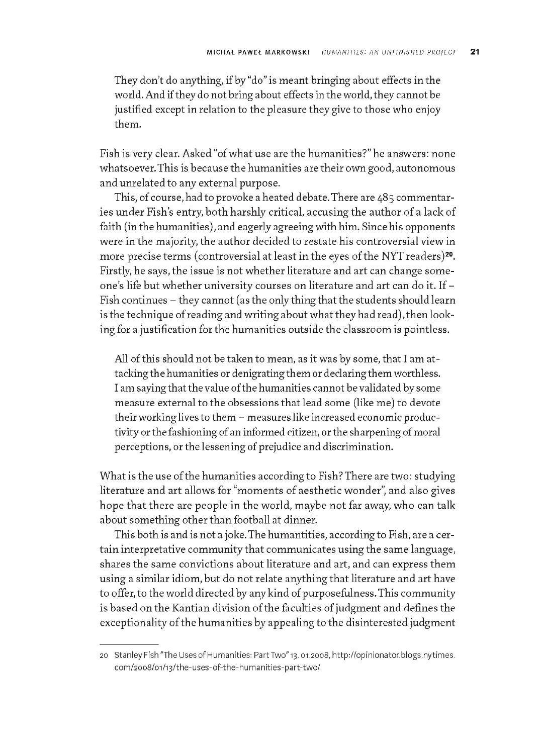They don't do anything, if by "do" is meant bringing about effects in the world. And if they do not bring about effects in the world, they cannot be justified except in relation to the pleasure they give to those who enjoy them.

Fish is very clear. A sked "of what use are the humanities?" he answers: none whatsoever. This is because the humanities are their own good, autonomous and unrelated to any external purpose.

This, of course, had to provoke a heated debate. There are 485 commentaries under Fish's entry, both harshly critical, accusing the author of a lack of faith (in the humanities), and eagerly agreeing with him. Since his opponents were in the majority, the author decided to restate his controversial view in more precise terms (controversial at least in the eyes of the NYT readers)<sup>20</sup>. Firstly, he says, the issue is not whether literature and art can change someone's life but whether university courses on literature and art can do it. If -Fish continues - they cannot (as the only thing that the students should learn is the technique of reading and writing about what they had read), then looking for a justification for the humanities outside the classroom is pointless.

All of this should not be taken to mean, as it was by some, that I am attacking the humanities or denigrating them or declaring them worthless. I am saying that the value of the humanities cannot be validated by some measure external to the obsessions that lead some (like me) to devote their working lives to them - measures like increased economic productivity or the fashioning of an informed citizen, or the sharpening of moral perceptions, or the lessening of prejudice and discrimination.

What is the use of the humanities according to Fish? There are two: studying literature and art allows for "moments of aesthetic wonder", and also gives hope that there are people in the world, maybe not far away, who can talk about something other than football at dinner.

This both is and is not a joke. The humantities, according to Fish, are a certain interpretative community that communicates using the same language, shares the same convictions about literature and art, and can express them using a similar idiom, but do not relate anything that literature and art have to offer, to the world directed by any kind of purposefulness. This community is based on the Kantian division of the faculties of judgment and defines the exceptionality of the humanities by appealing to the disinterested judgment

<sup>20</sup> Stanley Fish "The Uses of Humanities: Part Two" 13. 01.2008, http://opinionator.blogs.nytimes. com/2008/01/13/the-uses-of-the-humanities-part-two/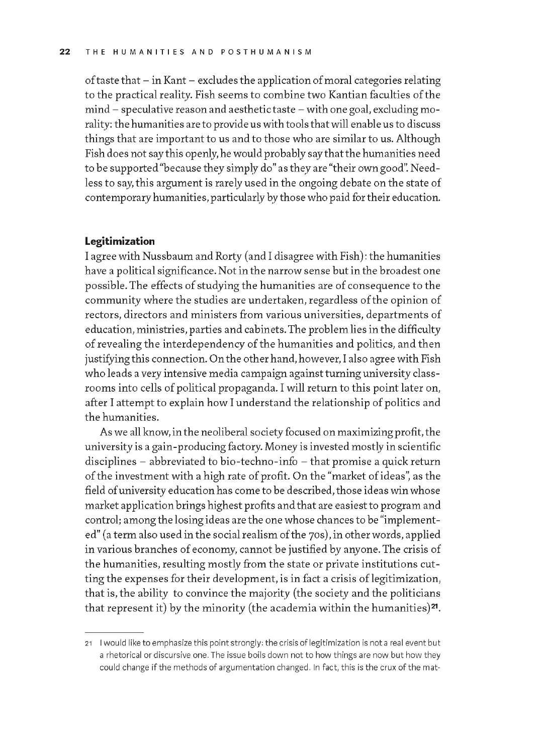of taste that  $-$  in Kant  $-$  excludes the application of moral categories relating to the practical reality. Fish seems to combine two Kantian faculties of the mind - speculative reason and aesthetic taste - w ith one goal, excluding morality: the humanities are to provide us with tools that will enable us to discuss things that are important to us and to those who are similar to us. Although Fish does not say this openly, he would probably say that the humanities need to be supported "because they simply do" as they are "their own good". Needless to say, this argument is rarely used in the ongoing debate on the state of contemporary hum anities, particularly by those who paid for their education.

#### **Legitimization**

I agree with Nussbaum and Rorty (and I disagree with Fish): the humanities have a political significance. Not in the narrow sense but in the broadest one possible. The effects of studying the humanities are of consequence to the community where the studies are undertaken, regardless of the opinion of rectors, directors and ministers from various universities, departments of education, ministries, parties and cabinets. The problem lies in the difficulty of revealing the interdependency of the humanities and politics, and then justifying this connection. On the other hand, however, I also agree with Fish who leads a very intensive media campaign against turning university classrooms into cells of political propaganda. I will return to this point later on, after I attempt to explain how I understand the relationship of politics and the humanities.

As we all know, in the neoliberal society focused on maximizing profit, the university is a gain-producing factory. Money is invested mostly in scientific disciplines - abbreviated to bio-techno-info - that promise a quick return of the investment with a high rate of profit. On the "market of ideas", as the field of university education has come to be described, those ideas win whose m arket application brings highest profits and that are easiest to program and control; among the losing ideas are the one whose chances to be "implemented" (a term also used in the social realism of the 70s), in other words, applied in various branches of economy, cannot be justified by anyone. The crisis of the humanities, resulting mostly from the state or private institutions cutting the expenses for their development, is in fact a crisis of legitimization, that is, the ability to convince the majority (the society and the politicians that represent it) by the minority (the academia within the humanities) $21$ .

<sup>21</sup> I would like to emphasize this point strongly: the crisis of legitimization is not a real event but a rhetorical or discursive one. The issue boils down not to how things are now but how they could change if the methods of argumentation changed. In fact, this is the crux of the mat-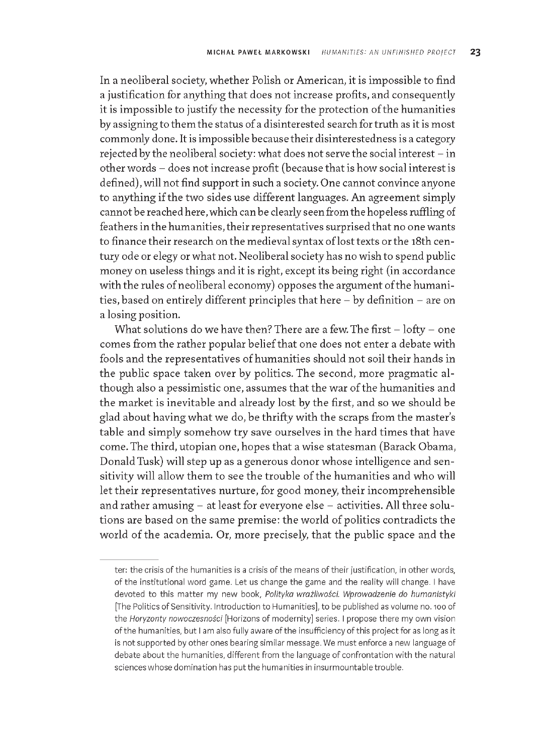In a neoliberal society, whether Polish or American, it is impossible to find a justification for anything that does not increase profits, and consequently it is impossible to justify the necessity for the protection of the humanities by assigning to them the status of a disinterested search for truth as it is most commonly done. It is impossible because their disinterestedness is a category rejected by the neoliberal society: what does not serve the social interest - in other words - does not increase profit (because that is how social interest is defined), will not find support in such a society. One cannot convince anyone to anything if the two sides use different languages. An agreement simply cannot be reached here, which can be clearly seen from the hopeless ruffling of feathers in the hum anities, their representatives surprised that no one wants to finance their research on the medieval syntax of lost texts or the 18th century ode or elegy or what not. Neoliberal society has no wish to spend public m oney on useless things and it is right, except its being right (in accordance with the rules of neoliberal economy) opposes the argument of the humanities, based on entirely different principles that here - by definition - are on a losing position.

What solutions do we have then? There are a few. The first  $-$  lofty  $-$  one comes from the rather popular belief that one does not enter a debate with fools and the representatives of humanities should not soil their hands in the public space taken over by politics. The second, more pragmatic although also a pessimistic one, assumes that the war of the humanities and the market is inevitable and already lost by the first, and so we should be glad about having what we do, be thrifty with the scraps from the master's table and simply somehow try save ourselves in the hard times that have come. The third, utopian one, hopes that a wise statesman (Barack Obama, Donald Tusk) will step up as a generous donor whose intelligence and sensitivity will allow them to see the trouble of the humanities and who will let their representatives nurture, for good money, their incomprehensible and rather amusing  $-$  at least for everyone else  $-$  activities. All three solutions are based on the same premise: the world of politics contradicts the world of the academia. Or, more precisely, that the public space and the

ter: the crisis of the humanities is a crisis of the means of their justification, in other words, of the institutional word game. Let us change the game and the reality will change. I have devoted to this matter my new book, Polityka wrażliwości. Wprowadzenie do humanistyki [The Politics of Sensitivity. Introduction to Humanities], to be published as volume no. 100 of the *Horyzonty nowoczesności* [Horizons of modernity] series. I propose there my own vision of the humanities, but I am also fully aware of the insufficiency of this project for as long as it is not supported by other ones bearing similar message. We must enforce a new language of debate about the humanities, different from the language of confrontation with the natural sciences whose domination has put the humanities in insurmountable trouble.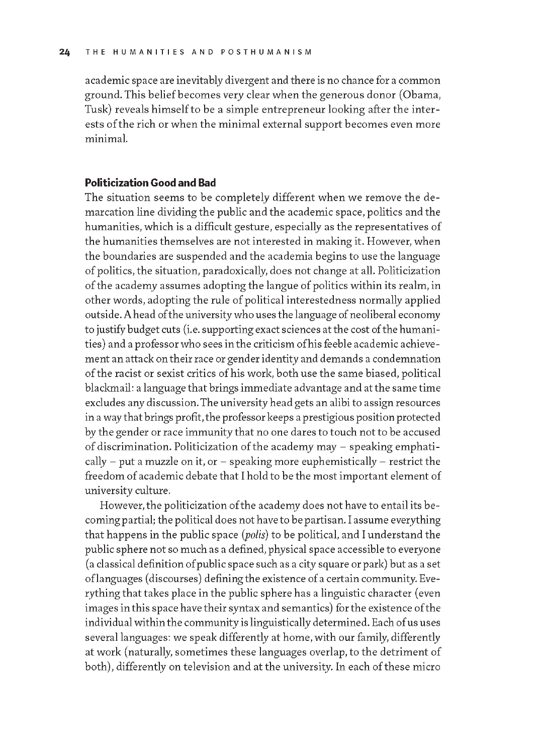academic space are inevitably divergent and there is no chance for a common ground. This belief becomes very clear when the generous donor (Obama, Tusk) reveals himself to be a simple entrepreneur looking after the interests of the rich or when the minimal external support becomes even more m inimal.

## Politicization Good and Bad

The situation seems to be completely different when we remove the demarcation line dividing the public and the academic space, politics and the humanities, which is a difficult gesture, especially as the representatives of the humanities themselves are not interested in making it. However, when the boundaries are suspended and the academia begins to use the language of politics, the situation, paradoxically, does not change at all. Politicization of the academy assumes adopting the langue of politics within its realm, in other words, adopting the rule of political interestedness normally applied outside. A head of the university who uses the language of neoliberal economy to justify budget cuts (i.e. supporting exact sciences at the cost of the hum anities) and a professor who sees in the criticism of his feeble academic achievement an attack on their race or gender identity and demands a condemnation of the racist or sexist critics of his work, both use the same biased, political blackmail: a language that brings immediate advantage and at the same time excludes any discussion. The university head gets an alibi to assign resources in a way that brings profit, the professor keeps a prestigious position protected by the gender or race immunity that no one dares to touch not to be accused of discrimination. Politicization of the academy may - speaking emphatically  $-$  put a muzzle on it, or  $-$  speaking more euphemistically  $-$  restrict the freedom of academic debate that I hold to be the most important element of university culture.

However, the politicization of the academy does not have to entail its becoming partial; the political does not have to be partisan. I assume everything that happens in the public space *(polis*) to be political, and I understand the public sphere not so much as a defined, physical space accessible to everyone (a classical definition of public space such as a city square or park) but as a set of languages (discourses) defining the existence of a certain community. Everything that takes place in the public sphere has a linguistic character (even images in this space have their syntax and semantics) for the existence of the individual within the community is linguistically determined. Each of us uses several languages: we speak differently at home, with our family, differently at work (naturally, sometimes these languages overlap, to the detriment of both), differently on television and at the university. In each of these micro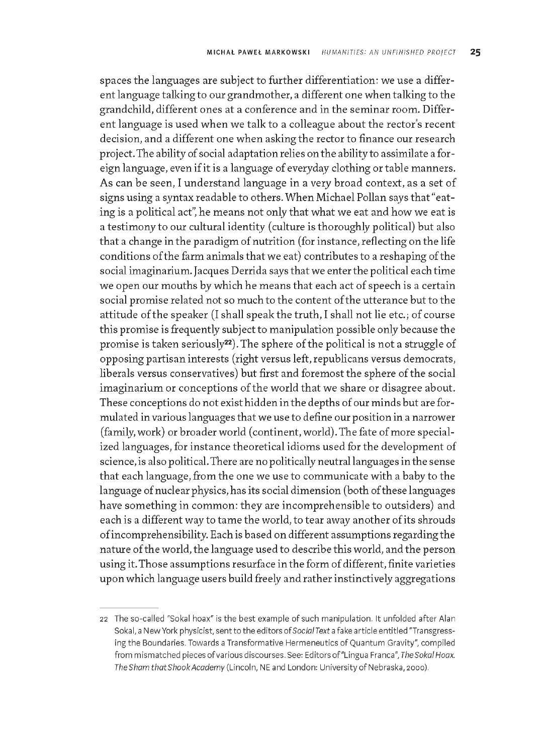spaces the languages are subject to further differentiation: we use a different language talking to our grandmother, a different one when talking to the grandchild, different ones at a conference and in the seminar room. Different language is used when we talk to a colleague about the rector's recent decision, and a different one when asking the rector to finance our research project. The ability of social adaptation relies on the ability to assimilate a foreign language, even if it is a language of everyday clothing or table manners. As can be seen, I understand language in a very broad context, as a set of signs using a syntax readable to others. W hen M ichael Pollan says that "eating is a political act", he means not only that what we eat and how we eat is a testimony to our cultural identity (culture is thoroughly political) but also that a change in the paradigm of nutrition (for instance, reflecting on the life conditions of the farm animals that we eat) contributes to a reshaping of the social imaginarium. Jacques Derrida says that we enter the political each time we open our mouths by which he means that each act of speech is a certain social promise related not so much to the content of the utterance but to the attitude of the speaker (I shall speak the truth, I shall not lie etc.; of course this promise is frequently subject to manipulation possible only because the promise is taken seriously<sup>22</sup>). The sphere of the political is not a struggle of opposing partisan interests (right versus left, republicans versus democrats, liberals versus conservatives) but first and foremost the sphere of the social imaginarium or conceptions of the world that we share or disagree about. These conceptions do not exist hidden in the depths of our minds but are formulated in various languages that we use to define our position in a narrower (family, work) or broader world (continent, world). The fate of more specialized languages, for instance theoretical idioms used for the development of science, is also political. There are no politically neutral languages in the sense that each language, from the one we use to communicate with a baby to the language of nuclear physics, has its social dimension (both of these languages have something in common: they are incomprehensible to outsiders) and each is a different way to tame the world, to tear away another of its shrouds of incomprehensibility. Each is based on different assumptions regarding the nature of the world, the language used to describe this world, and the person using it. Those assumptions resurface in the form of different, finite varieties upon which language users build freely and rather instinctively aggregations

<sup>22</sup> The so-called "Sokal hoax" is the best example of such manipulation. It unfolded after Alan Sokal, a New York physicist, sent to the editors of *Social Text* a fake article entitled "Transgressing the Boundaries. Towards a Transformative Hermeneutics of Quantum Gravity", compiled from mismatched pieces of various discourses. See: Editors of "Lingua Franca", The Sokal Hoax. *The Sham that Shook Academy* (Lincoln, NE and London: University of Nebraska, 2000).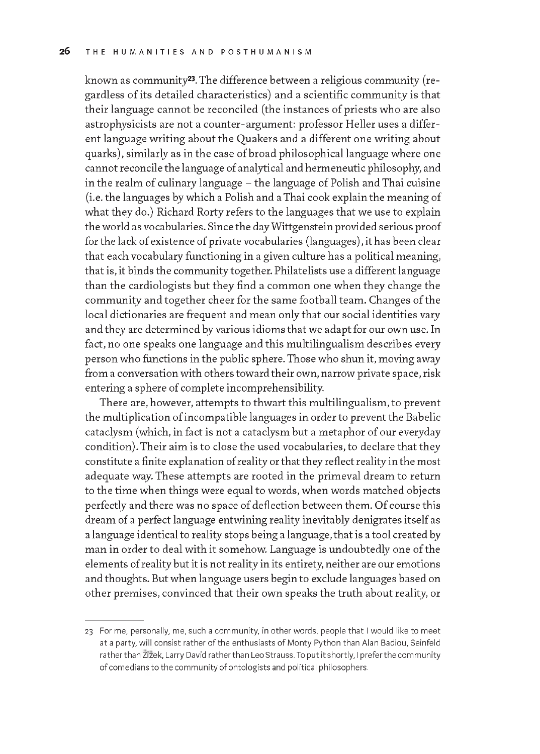known as community<sup>23</sup>. The difference between a religious community (regardless of its detailed characteristics) and a scientific community is that their language cannot be reconciled (the instances of priests who are also astrophysicists are not a counter-argument: professor Heller uses a different language writing about the Quakers and a different one writing about quarks), similarly as in the case of broad philosophical language where one cannot reconcile the language of analytical and herm eneutic philosophy, and in the realm of culinary language - the language of Polish and Thai cuisine (i.e. the languages by which a Polish and a Thai cook explain the meaning of what they do.) Richard Rorty refers to the languages that we use to explain the world as vocabularies. Since the day Wittgenstein provided serious proof for the lack of existence of private vocabularies (languages), it has been clear that each vocabulary functioning in a given culture has a political meaning. that is, it binds the community together. Philatelists use a different language than the cardiologists but they find a common one when they change the community and together cheer for the same football team. Changes of the local dictionaries are frequent and mean only that our social identities vary and they are determined by various idioms that we adapt for our own use. In fact, no one speaks one language and this multilingualism describes every person who functions in the public sphere. Those who shun it, moving away from a conversation with others toward their own, narrow private space, risk entering a sphere of complete incomprehensibility.

There are, however, attempts to thwart this multilingualism, to prevent the multiplication of incompatible languages in order to prevent the Babelic cataclysm (which, in fact is not a cataclysm but a metaphor of our everyday condition). Their aim is to close the used vocabularies, to declare that they constitute a finite explanation of reality or that they reflect reality in the most adequate way. These attempts are rooted in the primeval dream to return to the time when things were equal to words, when words matched objects perfectly and there was no space of deflection between them. Of course this dream of a perfect language entwining reality inevitably denigrates itself as a language identical to reality stops being a language, that is a tool created by man in order to deal with it somehow. Language is undoubtedly one of the elements of reality but it is not reality in its entirety, neither are our emotions and thoughts. But when language users begin to exclude languages based on other premises, convinced that their own speaks the truth about reality, or

<sup>23</sup> For me, personally, me, such a community, in other words, people that I would like to meet at a party, will consist rather of the enthusiasts of Monty Python than Alan Badiou, Seinfeld rather than Zizek, Larry David rather than Leo Strauss. To put it shortly, I prefer the community of comedians to the community of ontologists and political philosophers.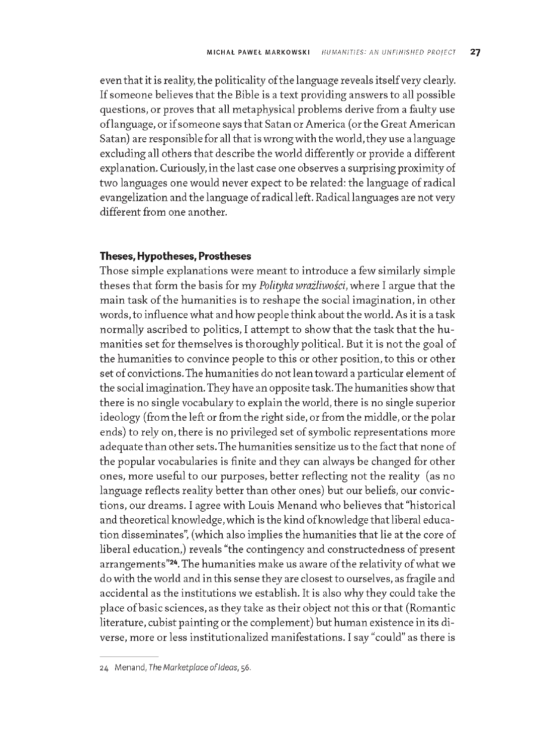even that it is reality, the politicality of the language reveals itself very clearly. If someone believes that the Bible is a text providing answers to all possible questions, or proves that all metaphysical problems derive from a faulty use of language, or if someone says that Satan or America (or the Great American Satan) are responsible for all that is wrong with the world, they use a language excluding all others that describe the world differently or provide a different explanation. Curiously, in the last case one observes a surprising proximity of two languages one would never expect to be related: the language of radical evangelization and the language of radical left. Radical languages are not very different from one another.

#### Theses, Hypotheses, Prostheses

Those simple explanations were meant to introduce a few similarly simple theses that form the basis for my *Polityka wrażliwości*, where I argue that the main task of the humanities is to reshape the social imagination, in other words, to influence what and how people think about the world. As it is a task normally ascribed to politics, I attempt to show that the task that the humanities set for themselves is thoroughly political. But it is not the goal of the humanities to convince people to this or other position, to this or other set of convictions. The humanities do not lean toward a particular element of the social imagination. They have an opposite task. The humanities show that there is no single vocabulary to explain the world, there is no single superior ideology (from the left or from the right side, or from the middle, or the polar ends) to rely on, there is no privileged set of symbolic representations more adequate than other sets. The humanities sensitize us to the fact that none of the popular vocabularies is finite and they can always be changed for other ones, more useful to our purposes, better reflecting not the reality (as no language reflects reality better than other ones) but our beliefs, our convictions, our dreams. I agree with Louis Menand who believes that "historical and theoretical knowledge, which is the kind of knowledge that liberal education disseminates", (which also implies the humanities that lie at the core of liberal education,) reveals "the contingency and constructedness of present arrangements"<sup>24</sup>. The humanities make us aware of the relativity of what we do with the world and in this sense they are closest to ourselves, as fragile and accidental as the institutions we establish. It is also why they could take the place of basic sciences, as they take as their object not this or that (Romantic literature, cubist painting or the complement) but human existence in its diverse, more or less institutionalized manifestations. I say "could" as there is

<sup>24</sup> M enand, *The M arketplace o f Ideas,* 56.